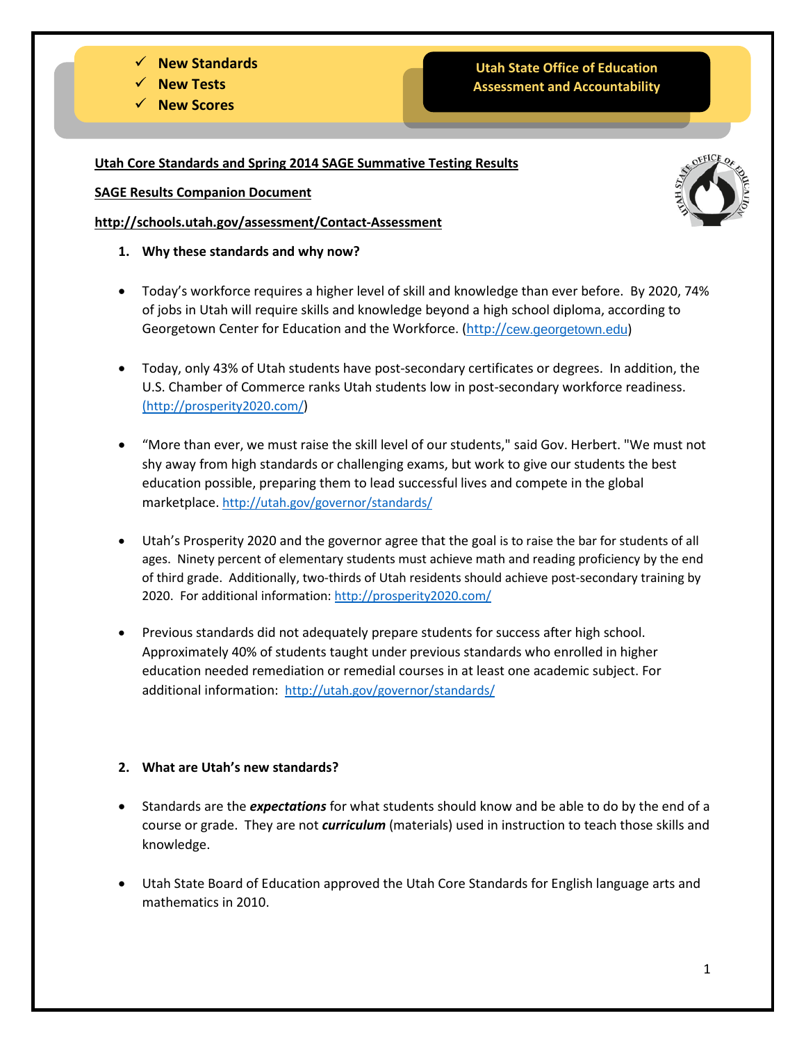### **New Standards**

- **New Tests**
- **New Scores**

# **Utah State Office of Education Assessment and Accountability**

**Utah Core Standards and Spring 2014 SAGE Summative Testing Results**

**SAGE Results Companion Document** 

**http://schools.utah.gov/assessment/Contact-Assessment**

- **1. Why these standards and why now?**
- Today's workforce requires a higher level of skill and knowledge than ever before. By 2020, 74% of jobs in Utah will require skills and knowledge beyond a high school diploma, according to Georgetown Center for Education and the Workforce. (http://[cew.georgetown.edu](http://cew.georgetown.edu/))
- Today, only 43% of Utah students have post-secondary certificates or degrees. In addition, the U.S. Chamber of Commerce ranks Utah students low in post-secondary workforce readiness. [\(http://prosperity2020.com/\)](http://prosperity2020.com/)
- "More than ever, we must raise the skill level of our students," said Gov. Herbert. "We must not shy away from high standards or challenging exams, but work to give our students the best education possible, preparing them to lead successful lives and compete in the global marketplace. <http://utah.gov/governor/standards/>
- Utah's Prosperity 2020 and the governor agree that the goal is to raise the bar for students of all ages. Ninety percent of elementary students must achieve math and reading proficiency by the end of third grade. Additionally, two-thirds of Utah residents should achieve post-secondary training by 2020. For additional information:<http://prosperity2020.com/>
- Previous standards did not adequately prepare students for success after high school. Approximately 40% of students taught under previous standards who enrolled in higher education needed remediation or remedial courses in at least one academic subject. For additional information:<http://utah.gov/governor/standards/>

## **2. What are Utah's new standards?**

- Standards are the *expectations* for what students should know and be able to do by the end of a course or grade. They are not *curriculum* (materials) used in instruction to teach those skills and knowledge.
- Utah State Board of Education approved the Utah Core Standards for English language arts and mathematics in 2010.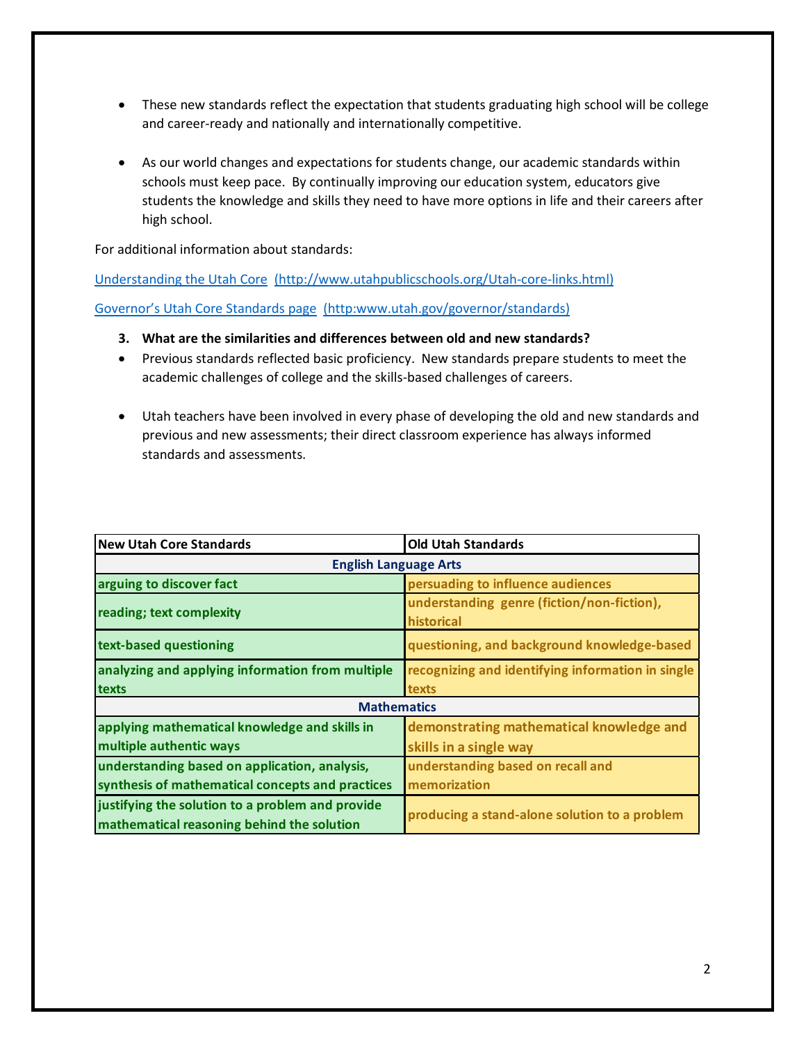- These new standards reflect the expectation that students graduating high school will be college and career-ready and nationally and internationally competitive.
- As our world changes and expectations for students change, our academic standards within schools must keep pace. By continually improving our education system, educators give students the knowledge and skills they need to have more options in life and their careers after high school.

For additional information about standards:

[Understanding the Utah Core](http://www.utahpublicschools.org/utah-core-links.html) (http://www.utahpublicschools.org/Utah-core-links.html) [Governor's Utah Core Standards page](http://utah.gov/governor/standards/) (http:www.utah.gov/governor/standards)

- **3. What are the similarities and differences between old and new standards?**
- Previous standards reflected basic proficiency. New standards prepare students to meet the academic challenges of college and the skills-based challenges of careers.
- Utah teachers have been involved in every phase of developing the old and new standards and previous and new assessments; their direct classroom experience has always informed standards and assessments.

| <b>New Utah Core Standards</b>                                                                 | <b>Old Utah Standards</b>                                |  |  |
|------------------------------------------------------------------------------------------------|----------------------------------------------------------|--|--|
| <b>English Language Arts</b>                                                                   |                                                          |  |  |
| arguing to discover fact                                                                       | persuading to influence audiences                        |  |  |
| reading; text complexity                                                                       | understanding genre (fiction/non-fiction),<br>historical |  |  |
| text-based questioning                                                                         | questioning, and background knowledge-based              |  |  |
| analyzing and applying information from multiple                                               | recognizing and identifying information in single        |  |  |
| texts                                                                                          | texts                                                    |  |  |
| <b>Mathematics</b>                                                                             |                                                          |  |  |
| applying mathematical knowledge and skills in                                                  | demonstrating mathematical knowledge and                 |  |  |
| multiple authentic ways                                                                        | skills in a single way                                   |  |  |
| understanding based on application, analysis,                                                  | understanding based on recall and                        |  |  |
| synthesis of mathematical concepts and practices                                               | memorization                                             |  |  |
| justifying the solution to a problem and provide<br>mathematical reasoning behind the solution | producing a stand-alone solution to a problem            |  |  |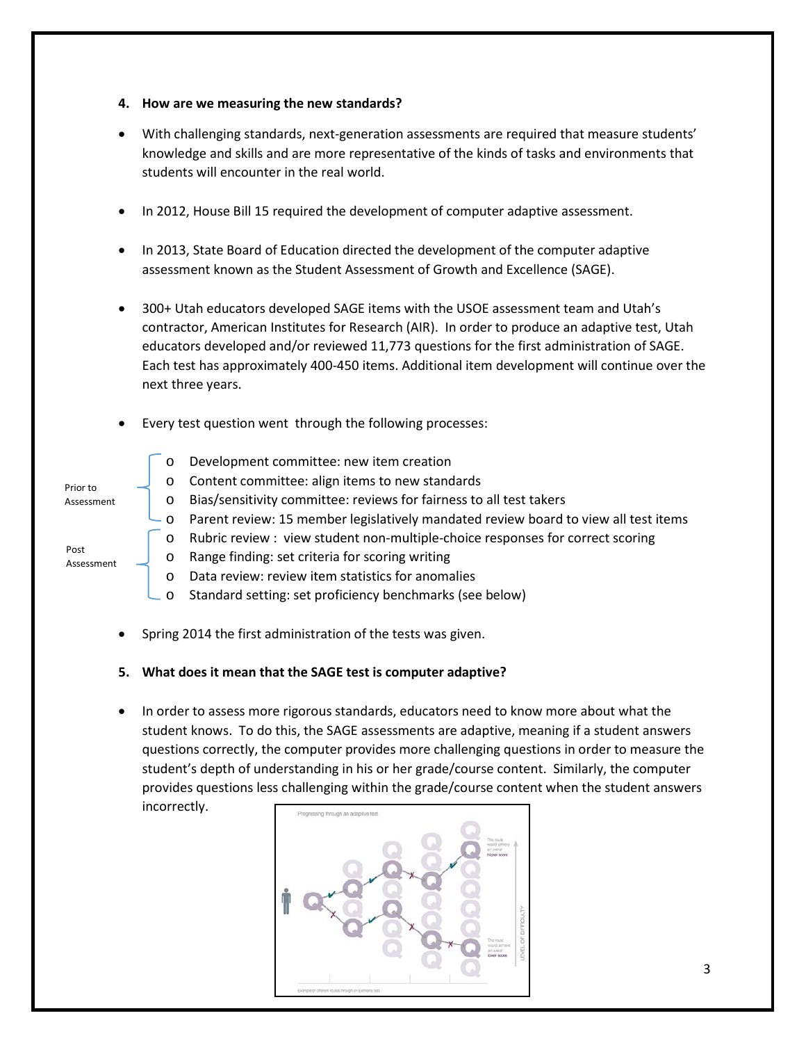- **4. How are we measuring the new standards?**
- With challenging standards, next-generation assessments are required that measure students' knowledge and skills and are more representative of the kinds of tasks and environments that students will encounter in the real world.
- In 2012, House Bill 15 required the development of computer adaptive assessment.
- In 2013, State Board of Education directed the development of the computer adaptive assessment known as the Student Assessment of Growth and Excellence (SAGE).
- 300+ Utah educators developed SAGE items with the USOE assessment team and Utah's contractor, American Institutes for Research (AIR). In order to produce an adaptive test, Utah educators developed and/or reviewed 11,773 questions for the first administration of SAGE. Each test has approximately 400-450 items. Additional item development will continue over the next three years.
- Every test question went through the following processes:

|                    | $\circ$ | Development committee: new item creation                                                |
|--------------------|---------|-----------------------------------------------------------------------------------------|
| Prior to           | $\circ$ | Content committee: align items to new standards                                         |
| Assessment         | $\circ$ | Bias/sensitivity committee: reviews for fairness to all test takers                     |
|                    |         | └ o Parent review: 15 member legislatively mandated review board to view all test items |
|                    | $\circ$ | Rubric review: view student non-multiple-choice responses for correct scoring           |
| Post<br>Assessment | $\circ$ | Range finding: set criteria for scoring writing                                         |

- o Data review: review item statistics for anomalies
- o Standard setting: set proficiency benchmarks (see below)
- Spring 2014 the first administration of the tests was given.

#### **5. What does it mean that the SAGE test is computer adaptive?**

• In order to assess more rigorous standards, educators need to know more about what the student knows. To do this, the SAGE assessments are adaptive, meaning if a student answers questions correctly, the computer provides more challenging questions in order to measure the student's depth of understanding in his or her grade/course content. Similarly, the computer provides questions less challenging within the grade/course content when the student answers incorrectly.

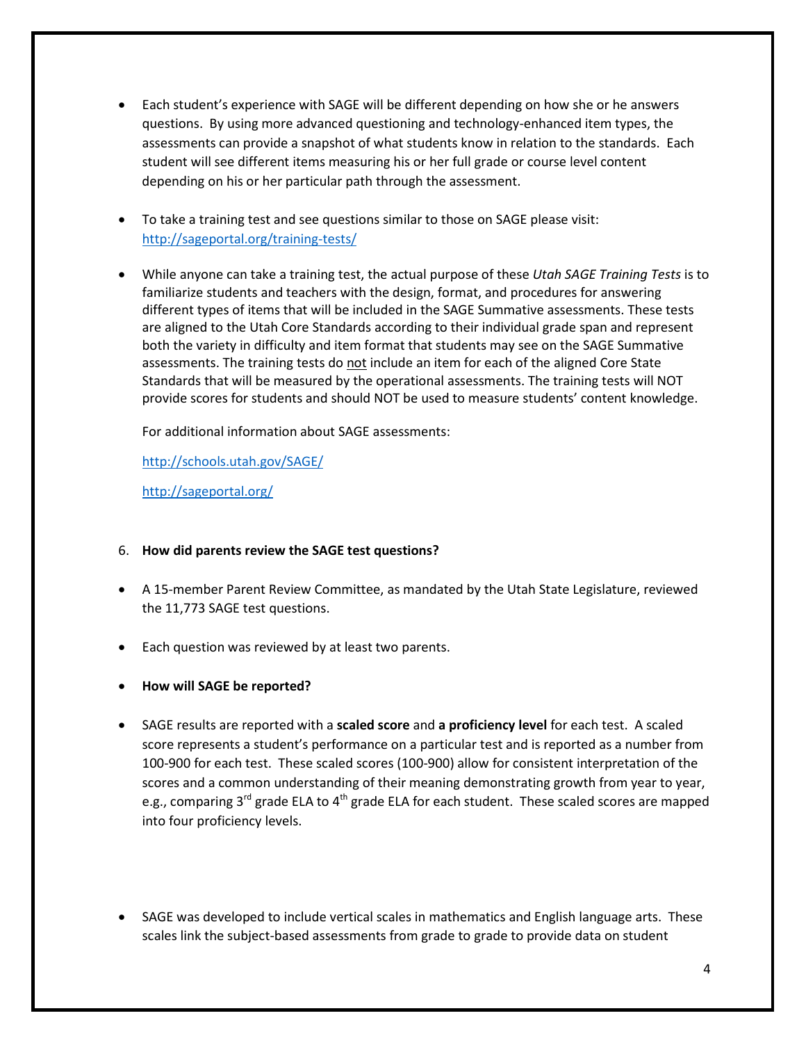- Each student's experience with SAGE will be different depending on how she or he answers questions. By using more advanced questioning and technology-enhanced item types, the assessments can provide a snapshot of what students know in relation to the standards. Each student will see different items measuring his or her full grade or course level content depending on his or her particular path through the assessment.
- To take a training test and see questions similar to those on SAGE please visit: <http://sageportal.org/training-tests/>
- While anyone can take a training test, the actual purpose of these *Utah SAGE Training Tests* is to familiarize students and teachers with the design, format, and procedures for answering different types of items that will be included in the SAGE Summative assessments. These tests are aligned to the Utah Core Standards according to their individual grade span and represent both the variety in difficulty and item format that students may see on the SAGE Summative assessments. The training tests do not include an item for each of the aligned Core State Standards that will be measured by the operational assessments. The training tests will NOT provide scores for students and should NOT be used to measure students' content knowledge.

For additional information about SAGE assessments:

<http://schools.utah.gov/SAGE/>

<http://sageportal.org/>

## 6. **How did parents review the SAGE test questions?**

- A 15-member Parent Review Committee, as mandated by the Utah State Legislature, reviewed the 11,773 SAGE test questions.
- Each question was reviewed by at least two parents.
- **How will SAGE be reported?**
- SAGE results are reported with a **scaled score** and **a proficiency level** for each test. A scaled score represents a student's performance on a particular test and is reported as a number from 100-900 for each test. These scaled scores (100-900) allow for consistent interpretation of the scores and a common understanding of their meaning demonstrating growth from year to year, e.g., comparing 3<sup>rd</sup> grade ELA to 4<sup>th</sup> grade ELA for each student. These scaled scores are mapped into four proficiency levels.
- SAGE was developed to include vertical scales in mathematics and English language arts. These scales link the subject-based assessments from grade to grade to provide data on student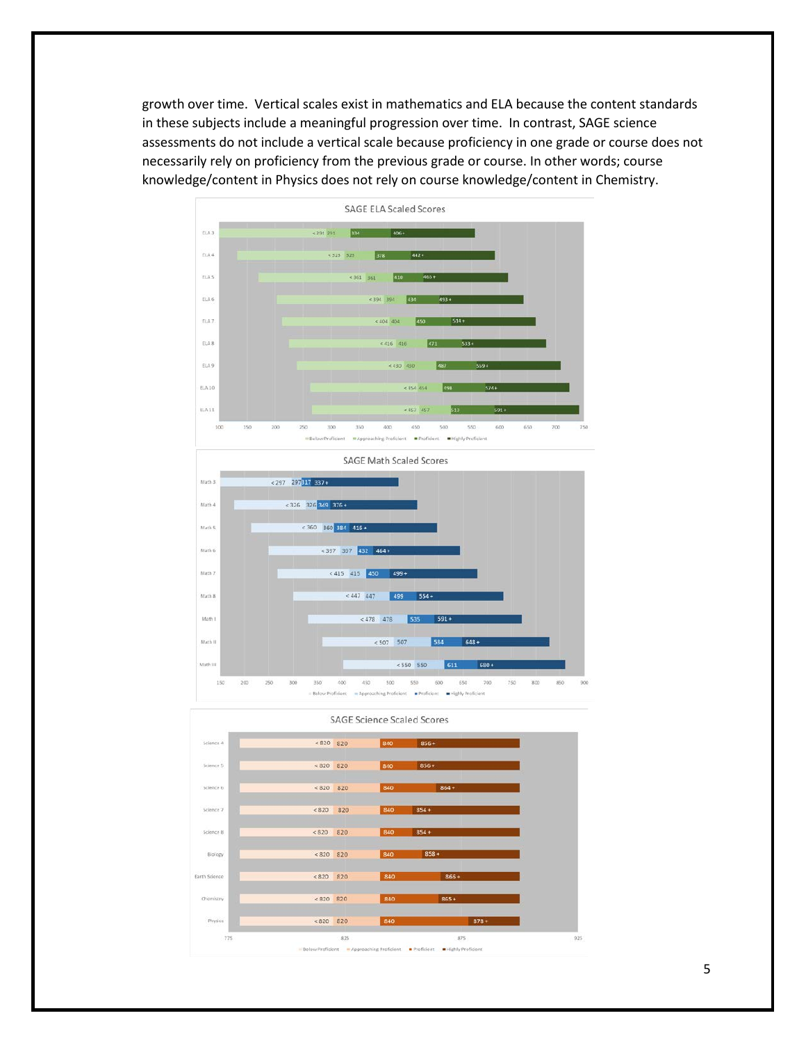growth over time. Vertical scales exist in mathematics and ELA because the content standards in these subjects include a meaningful progression over time. In contrast, SAGE science assessments do not include a vertical scale because proficiency in one grade or course does not necessarily rely on proficiency from the previous grade or course. In other words; course knowledge/content in Physics does not rely on course knowledge/content in Chemistry.



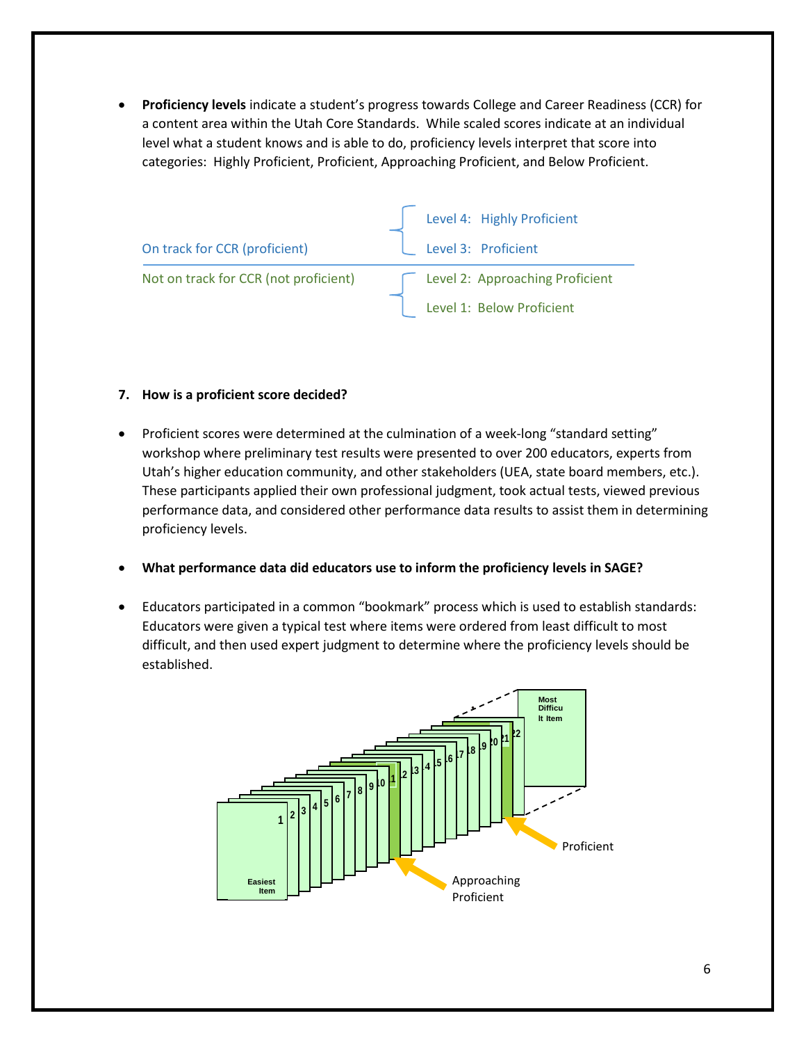• **Proficiency levels** indicate a student's progress towards College and Career Readiness (CCR) for a content area within the Utah Core Standards. While scaled scores indicate at an individual level what a student knows and is able to do, proficiency levels interpret that score into categories: Highly Proficient, Proficient, Approaching Proficient, and Below Proficient.

|                                       | Level 4: Highly Proficient      |
|---------------------------------------|---------------------------------|
| On track for CCR (proficient)         | Level 3: Proficient             |
| Not on track for CCR (not proficient) | Level 2: Approaching Proficient |
|                                       | Level 1: Below Proficient       |

### **7. How is a proficient score decided?**

- Proficient scores were determined at the culmination of a week-long "standard setting" workshop where preliminary test results were presented to over 200 educators, experts from Utah's higher education community, and other stakeholders (UEA, state board members, etc.). These participants applied their own professional judgment, took actual tests, viewed previous performance data, and considered other performance data results to assist them in determining proficiency levels.
- **What performance data did educators use to inform the proficiency levels in SAGE?**
- Educators participated in a common "bookmark" process which is used to establish standards: Educators were given a typical test where items were ordered from least difficult to most difficult, and then used expert judgment to determine where the proficiency levels should be established.

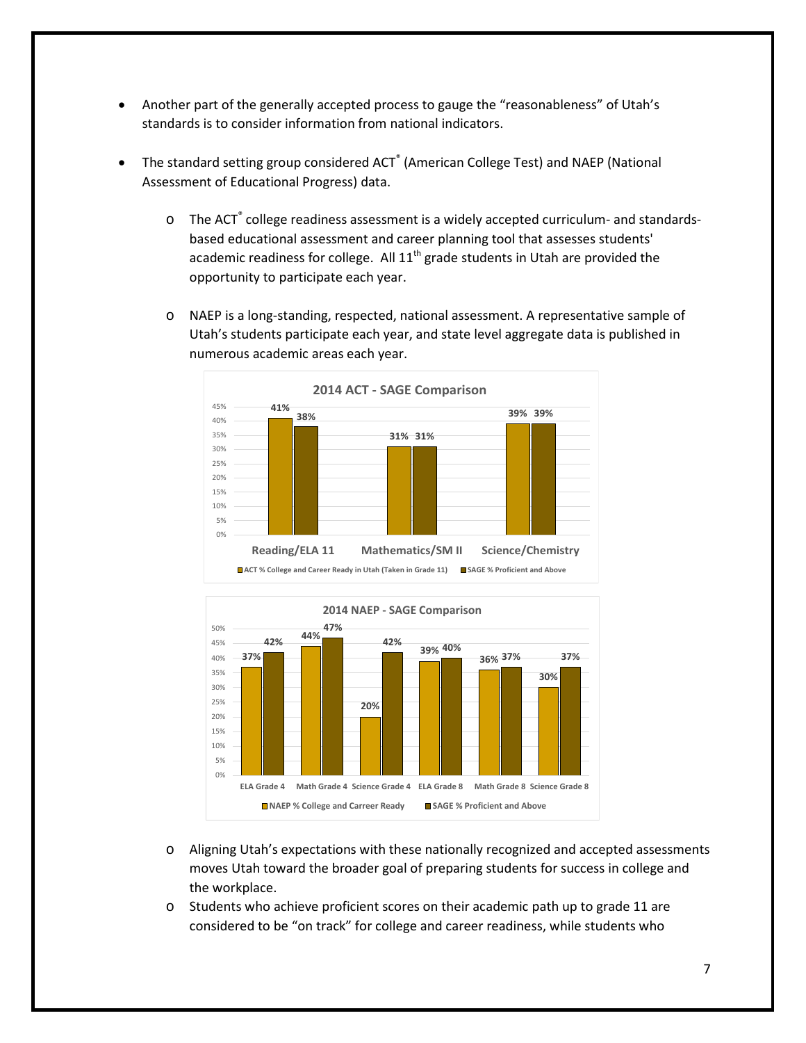- Another part of the generally accepted process to gauge the "reasonableness" of Utah's standards is to consider information from national indicators.
- The standard setting group considered ACT<sup>®</sup> (American College Test) and NAEP (National Assessment of Educational Progress) data.
	- o The ACT<sup>®</sup> college readiness assessment is a widely accepted curriculum- and standardsbased educational assessment and career planning tool that assesses students' academic readiness for college. All  $11<sup>th</sup>$  grade students in Utah are provided the opportunity to participate each year.
	- o NAEP is a long-standing, respected, national assessment. A representative sample of Utah's students participate each year, and state level aggregate data is published in numerous academic areas each year.





- o Aligning Utah's expectations with these nationally recognized and accepted assessments moves Utah toward the broader goal of preparing students for success in college and the workplace.
- o Students who achieve proficient scores on their academic path up to grade 11 are considered to be "on track" for college and career readiness, while students who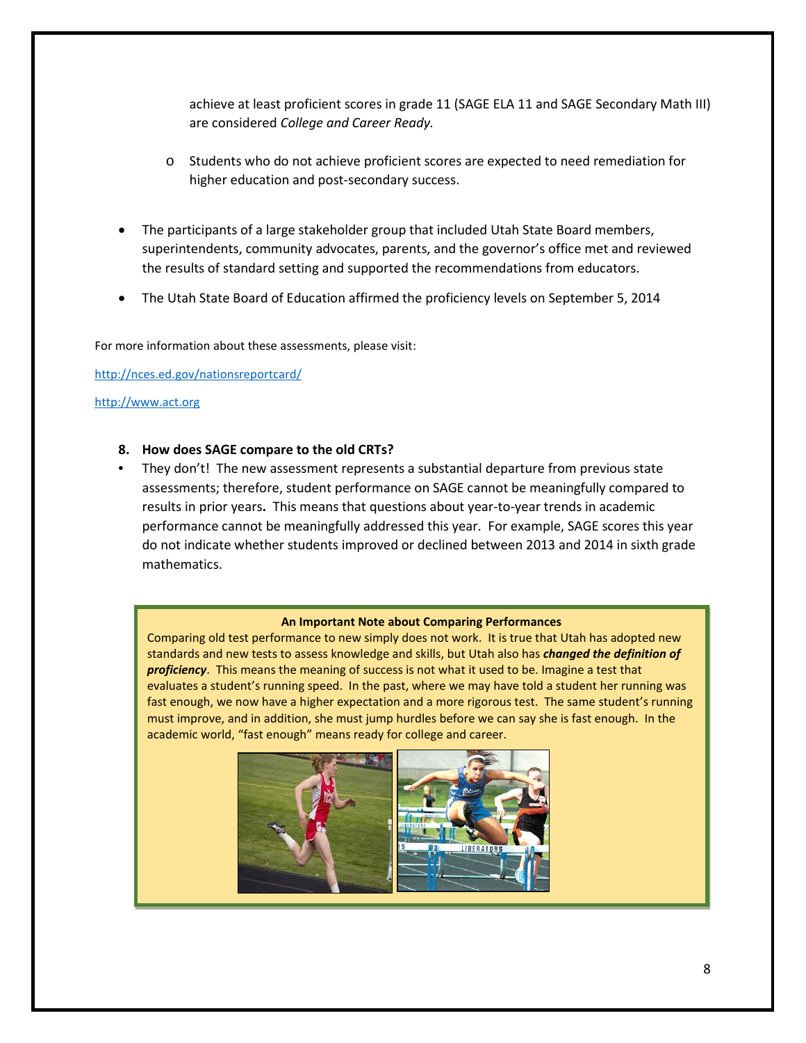achieve at least proficient scores in grade 11 (SAGE ELA 11 and SAGE Secondary Math III) are considered *College and Career Ready.* 

- o Students who do not achieve proficient scores are expected to need remediation for higher education and post-secondary success.
- The participants of a large stakeholder group that included Utah State Board members, superintendents, community advocates, parents, and the governor's office met and reviewed the results of standard setting and supported the recommendations from educators.
- The Utah State Board of Education affirmed the proficiency levels on September 5, 2014

For more information about these assessments, please visit:

<http://nces.ed.gov/nationsreportcard/>

### [http://www.act.org](http://www.act.org/)

### **8. How does SAGE compare to the old CRTs?**

• They don't! The new assessment represents a substantial departure from previous state assessments; therefore, student performance on SAGE cannot be meaningfully compared to results in prior years**.** This means that questions about year-to-year trends in academic performance cannot be meaningfully addressed this year. For example, SAGE scores this year do not indicate whether students improved or declined between 2013 and 2014 in sixth grade mathematics.

#### **An Important Note about Comparing Performances**

Comparing old test performance to new simply does not work. It is true that Utah has adopted new standards and new tests to assess knowledge and skills, but Utah also has *changed the definition of proficiency*. This means the meaning of success is not what it used to be. Imagine a test that evaluates a student's running speed. In the past, where we may have told a student her running was fast enough, we now have a higher expectation and a more rigorous test. The same student's running must improve, and in addition, she must jump hurdles before we can say she is fast enough. In the academic world, "fast enough" means ready for college and career.

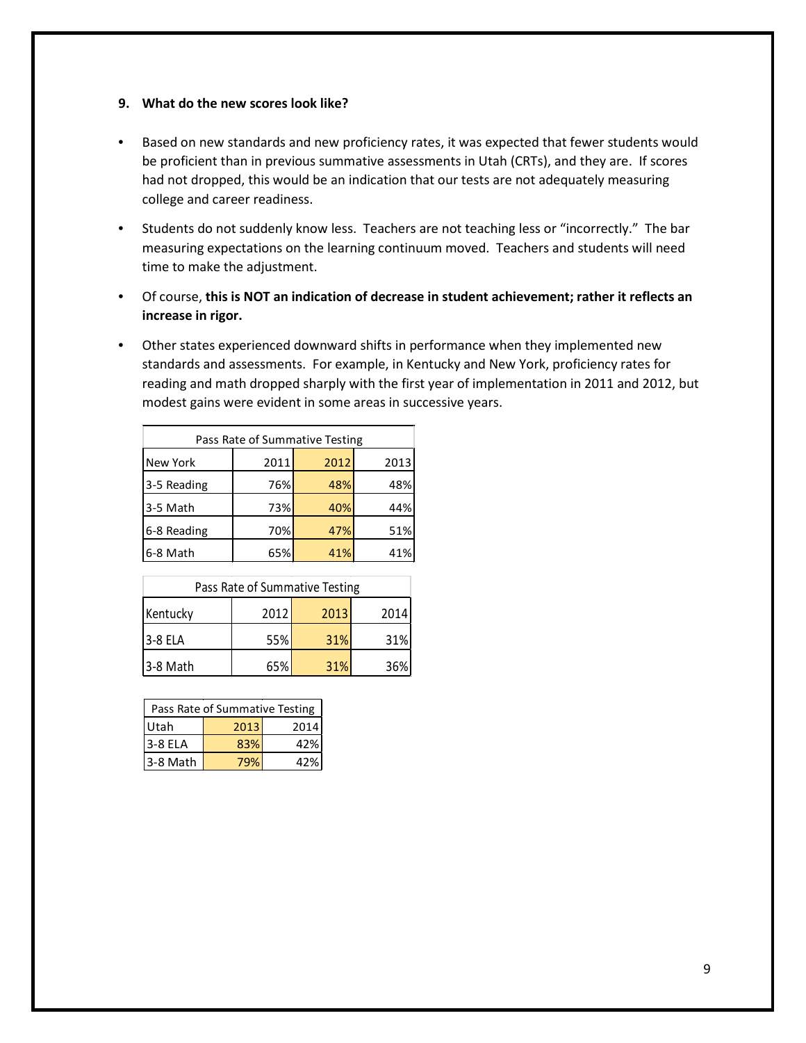#### **9. What do the new scores look like?**

- Based on new standards and new proficiency rates, it was expected that fewer students would be proficient than in previous summative assessments in Utah (CRTs), and they are. If scores had not dropped, this would be an indication that our tests are not adequately measuring college and career readiness.
- Students do not suddenly know less. Teachers are not teaching less or "incorrectly." The bar measuring expectations on the learning continuum moved. Teachers and students will need time to make the adjustment.
- Of course, **this is NOT an indication of decrease in student achievement; rather it reflects an increase in rigor.**
- Other states experienced downward shifts in performance when they implemented new standards and assessments. For example, in Kentucky and New York, proficiency rates for reading and math dropped sharply with the first year of implementation in 2011 and 2012, but modest gains were evident in some areas in successive years.

| Pass Rate of Summative Testing |      |      |      |
|--------------------------------|------|------|------|
| New York                       | 2011 | 2012 | 2013 |
| 3-5 Reading                    | 76%  | 48%  | 48%  |
| 3-5 Math                       | 73%  | 40%  | 44%  |
| 6-8 Reading                    | 70%  | 47%  | 51%  |
| 6-8 Math                       | 65%  | 41%  | 41%  |

| Pass Rate of Summative Testing |      |      |      |
|--------------------------------|------|------|------|
| Kentucky                       | 2012 | 2013 | 2014 |
| 3-8 ELA                        | 55%  | 31%  | 31%  |
| 3-8 Math                       | 65%  | 31%  | 36%  |

| Pass Rate of Summative Testing |      |      |  |
|--------------------------------|------|------|--|
| Utah                           | 2013 | 2014 |  |
| 3-8 ELA                        | 83%  | 42%  |  |
| 3-8 Math                       |      | 47%  |  |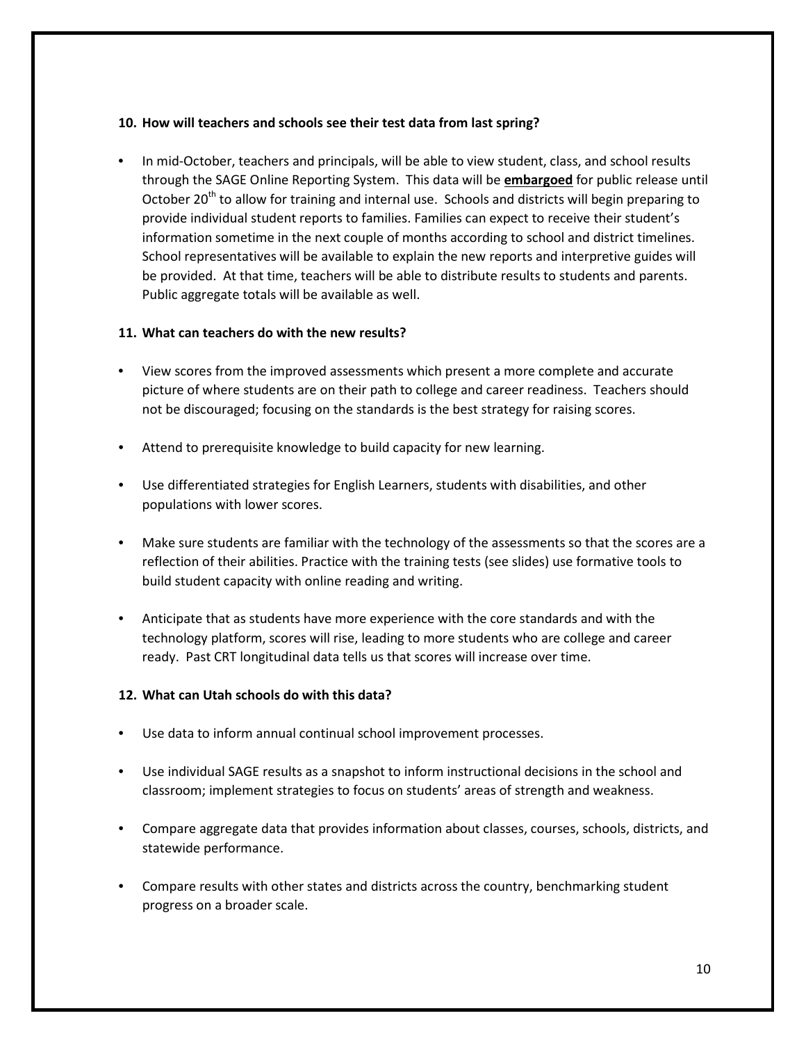### **10. How will teachers and schools see their test data from last spring?**

• In mid-October, teachers and principals, will be able to view student, class, and school results through the SAGE Online Reporting System. This data will be **embargoed** for public release until October 20<sup>th</sup> to allow for training and internal use. Schools and districts will begin preparing to provide individual student reports to families. Families can expect to receive their student's information sometime in the next couple of months according to school and district timelines. School representatives will be available to explain the new reports and interpretive guides will be provided. At that time, teachers will be able to distribute results to students and parents. Public aggregate totals will be available as well.

### **11. What can teachers do with the new results?**

- View scores from the improved assessments which present a more complete and accurate picture of where students are on their path to college and career readiness. Teachers should not be discouraged; focusing on the standards is the best strategy for raising scores.
- Attend to prerequisite knowledge to build capacity for new learning.
- Use differentiated strategies for English Learners, students with disabilities, and other populations with lower scores.
- Make sure students are familiar with the technology of the assessments so that the scores are a reflection of their abilities. Practice with the training tests (see slides) use formative tools to build student capacity with online reading and writing.
- Anticipate that as students have more experience with the core standards and with the technology platform, scores will rise, leading to more students who are college and career ready. Past CRT longitudinal data tells us that scores will increase over time.

## **12. What can Utah schools do with this data?**

- Use data to inform annual continual school improvement processes.
- Use individual SAGE results as a snapshot to inform instructional decisions in the school and classroom; implement strategies to focus on students' areas of strength and weakness.
- Compare aggregate data that provides information about classes, courses, schools, districts, and statewide performance.
- Compare results with other states and districts across the country, benchmarking student progress on a broader scale.